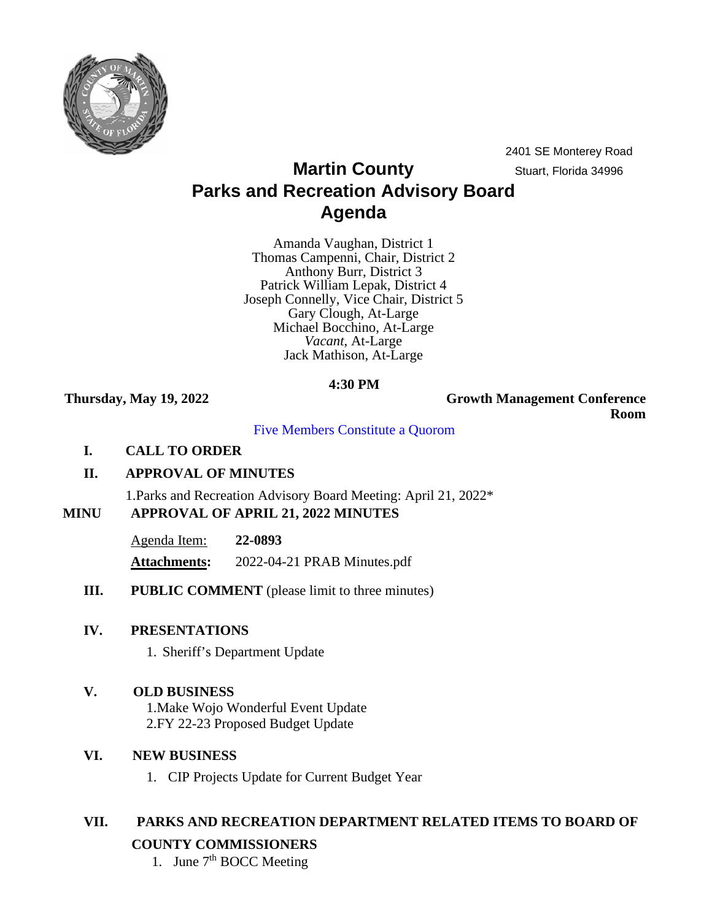

2401 SE Monterey Road

# **Martin County** Stuart, Florida 34996 **Parks and Recreation Advisory Board Agenda**

Amanda Vaughan, District 1 Thomas Campenni, Chair, District 2 Anthony Burr, District 3 Patrick William Lepak, District 4 Joseph Connelly, Vice Chair, District 5 Gary Clough, At-Large Michael Bocchino, At-Large *Vacant*, At-Large Jack Mathison, At-Large

## **4:30 PM**

**Thursday, May 19, 2022 Growth Management Conference Room**

Five Members Constitute a Quorom

**I. CALL TO ORDER**

## **II. APPROVAL OF MINUTES**

1.Parks and Recreation Advisory Board Meeting: April 21, 2022\*

## **MINU APPROVAL OF APRIL 21, 2022 MINUTES**

Agenda Item: **22-0893**

**Attachments:** 2022-04-21 PRAB Minutes.pdf

**III. PUBLIC COMMENT** (please limit to three minutes)

## **IV. PRESENTATIONS**

1. Sheriff's Department Update

## **V. OLD BUSINESS**

1.Make Wojo Wonderful Event Update 2.FY 22-23 Proposed Budget Update

## **VI. NEW BUSINESS**

1. CIP Projects Update for Current Budget Year

## **VII. PARKS AND RECREATION DEPARTMENT RELATED ITEMS TO BOARD OF COUNTY COMMISSIONERS**

1. June  $7<sup>th</sup>$  BOCC Meeting